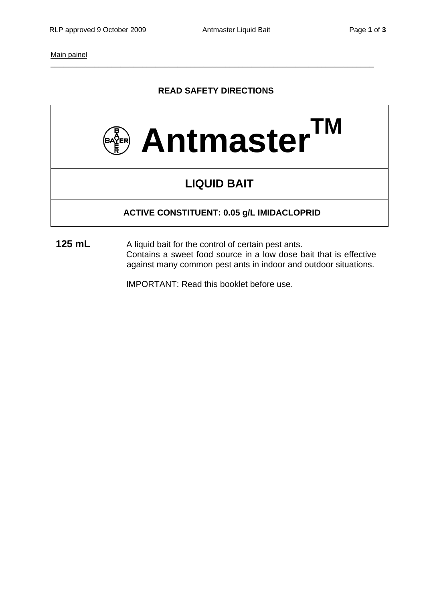Main painel

## **READ SAFETY DIRECTIONS**

\_\_\_\_\_\_\_\_\_\_\_\_\_\_\_\_\_\_\_\_\_\_\_\_\_\_\_\_\_\_\_\_\_\_\_\_\_\_\_\_\_\_\_\_\_\_\_\_\_\_\_\_\_\_\_\_\_\_\_\_\_\_\_\_\_\_\_\_\_\_\_\_\_\_



# **LIQUID BAIT**

## **ACTIVE CONSTITUENT: 0.05 g/L IMIDACLOPRID**

**125 mL** A liquid bait for the control of certain pest ants. Contains a sweet food source in a low dose bait that is effective against many common pest ants in indoor and outdoor situations.

IMPORTANT: Read this booklet before use.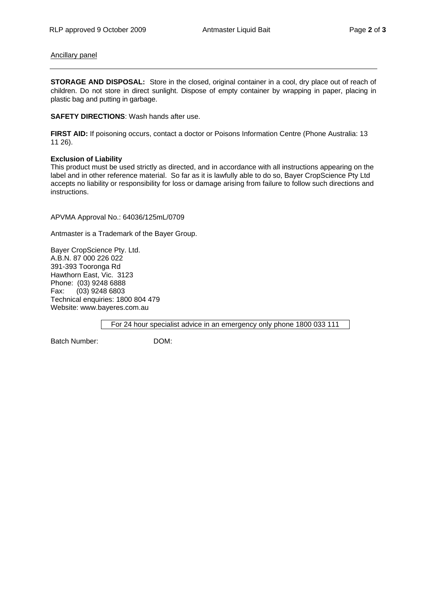#### Ancillary panel

**STORAGE AND DISPOSAL:** Store in the closed, original container in a cool, dry place out of reach of children. Do not store in direct sunlight. Dispose of empty container by wrapping in paper, placing in plastic bag and putting in garbage.

**SAFETY DIRECTIONS**: Wash hands after use.

**FIRST AID:** If poisoning occurs, contact a doctor or Poisons Information Centre (Phone Australia: 13 11 26).

#### **Exclusion of Liability**

This product must be used strictly as directed, and in accordance with all instructions appearing on the label and in other reference material. So far as it is lawfully able to do so, Bayer CropScience Pty Ltd accepts no liability or responsibility for loss or damage arising from failure to follow such directions and instructions.

APVMA Approval No.: 64036/125mL/0709

Antmaster is a Trademark of the Bayer Group.

Bayer CropScience Pty. Ltd. A.B.N. 87 000 226 022 391-393 Tooronga Rd Hawthorn East, Vic. 3123 Phone: (03) 9248 6888 Fax: (03) 9248 6803 Technical enquiries: 1800 804 479 Website: www.bayeres.com.au

For 24 hour specialist advice in an emergency only phone 1800 033 111

Batch Number: DOM: